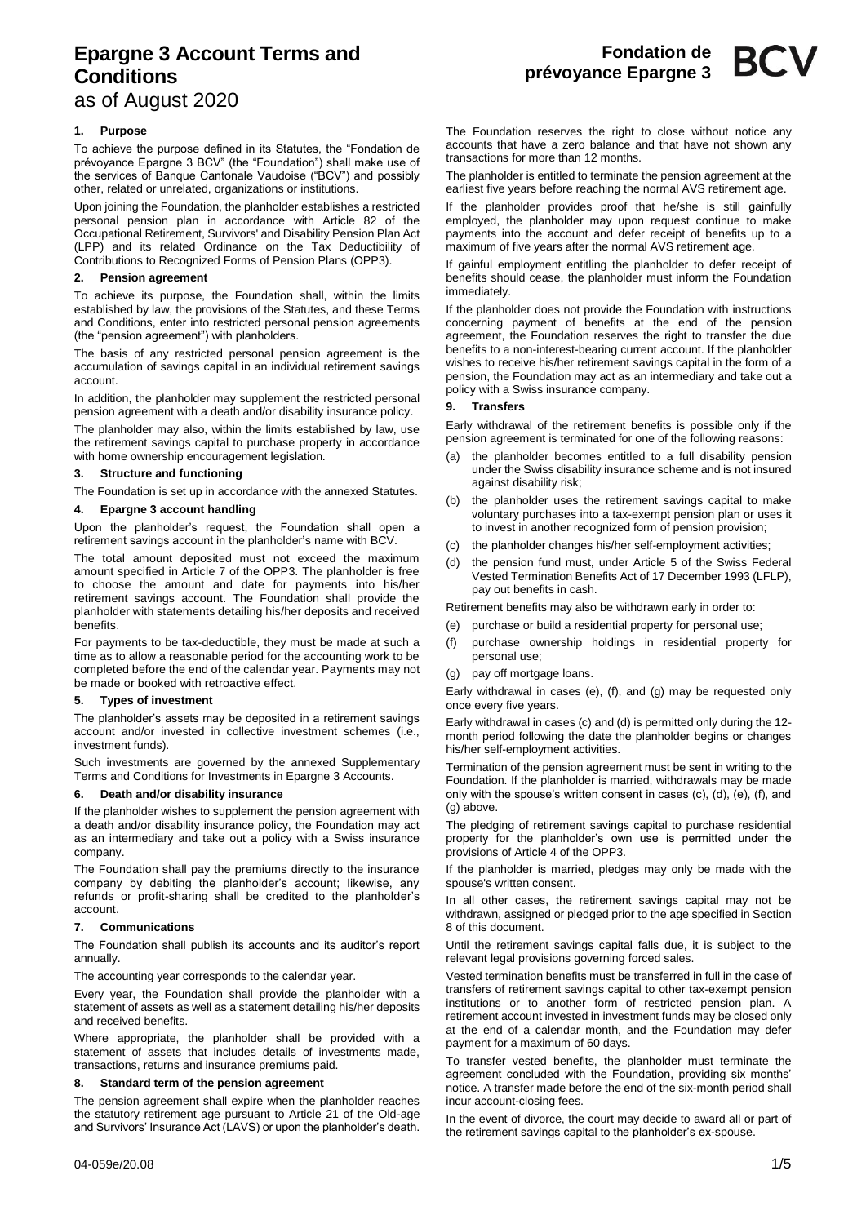# **Epargne 3 Account Terms and Conditions**

as of August 2020

# **1. Purpose**

To achieve the purpose defined in its Statutes, the "Fondation de prévoyance Epargne 3 BCV" (the "Foundation") shall make use of the services of Banque Cantonale Vaudoise ("BCV") and possibly other, related or unrelated, organizations or institutions.

Upon joining the Foundation, the planholder establishes a restricted personal pension plan in accordance with Article 82 of the Occupational Retirement, Survivors' and Disability Pension Plan Act (LPP) and its related Ordinance on the Tax Deductibility of Contributions to Recognized Forms of Pension Plans (OPP3).

## **2. Pension agreement**

To achieve its purpose, the Foundation shall, within the limits established by law, the provisions of the Statutes, and these Terms and Conditions, enter into restricted personal pension agreements (the "pension agreement") with planholders.

The basis of any restricted personal pension agreement is the accumulation of savings capital in an individual retirement savings account.

In addition, the planholder may supplement the restricted personal pension agreement with a death and/or disability insurance policy.

The planholder may also, within the limits established by law, use the retirement savings capital to purchase property in accordance with home ownership encouragement legislation.

## **3. Structure and functioning**

The Foundation is set up in accordance with the annexed Statutes.

## **4. Epargne 3 account handling**

Upon the planholder's request, the Foundation shall open a retirement savings account in the planholder's name with BCV.

The total amount deposited must not exceed the maximum amount specified in Article 7 of the OPP3. The planholder is free to choose the amount and date for payments into his/her retirement savings account. The Foundation shall provide the planholder with statements detailing his/her deposits and received benefits.

For payments to be tax-deductible, they must be made at such a time as to allow a reasonable period for the accounting work to be completed before the end of the calendar year. Payments may not be made or booked with retroactive effect.

## **5. Types of investment**

The planholder's assets may be deposited in a retirement savings account and/or invested in collective investment schemes (i.e., investment funds).

Such investments are governed by the annexed Supplementary Terms and Conditions for Investments in Epargne 3 Accounts.

## **6. Death and/or disability insurance**

If the planholder wishes to supplement the pension agreement with a death and/or disability insurance policy, the Foundation may act as an intermediary and take out a policy with a Swiss insurance company.

The Foundation shall pay the premiums directly to the insurance company by debiting the planholder's account; likewise, any refunds or profit-sharing shall be credited to the planholder's account.

## **7. Communications**

The Foundation shall publish its accounts and its auditor's report annually.

The accounting year corresponds to the calendar year.

Every year, the Foundation shall provide the planholder with a statement of assets as well as a statement detailing his/her deposits and received benefits.

Where appropriate, the planholder shall be provided with a statement of assets that includes details of investments made, transactions, returns and insurance premiums paid.

## **8. Standard term of the pension agreement**

The pension agreement shall expire when the planholder reaches the statutory retirement age pursuant to Article 21 of the Old-age and Survivors' Insurance Act (LAVS) or upon the planholder's death.

The Foundation reserves the right to close without notice any accounts that have a zero balance and that have not shown any transactions for more than 12 months.

The planholder is entitled to terminate the pension agreement at the earliest five years before reaching the normal AVS retirement age.

If the planholder provides proof that he/she is still gainfully employed, the planholder may upon request continue to make payments into the account and defer receipt of benefits up to a maximum of five years after the normal AVS retirement age.

If gainful employment entitling the planholder to defer receipt of benefits should cease, the planholder must inform the Foundation immediately.

If the planholder does not provide the Foundation with instructions concerning payment of benefits at the end of the pension agreement, the Foundation reserves the right to transfer the due benefits to a non-interest-bearing current account. If the planholder wishes to receive his/her retirement savings capital in the form of a pension, the Foundation may act as an intermediary and take out a policy with a Swiss insurance company.

## **9. Transfers**

Early withdrawal of the retirement benefits is possible only if the pension agreement is terminated for one of the following reasons:

- (a) the planholder becomes entitled to a full disability pension under the Swiss disability insurance scheme and is not insured against disability risk;
- the planholder uses the retirement savings capital to make voluntary purchases into a tax-exempt pension plan or uses it to invest in another recognized form of pension provision;
- the planholder changes his/her self-employment activities;
- (d) the pension fund must, under Article 5 of the Swiss Federal Vested Termination Benefits Act of 17 December 1993 (LFLP), pay out benefits in cash.

Retirement benefits may also be withdrawn early in order to:

- (e) purchase or build a residential property for personal use;
- (f) purchase ownership holdings in residential property for personal use;
- (g) pay off mortgage loans.

Early withdrawal in cases (e), (f), and (g) may be requested only once every five years.

Early withdrawal in cases (c) and (d) is permitted only during the 12 month period following the date the planholder begins or changes his/her self-employment activities.

Termination of the pension agreement must be sent in writing to the Foundation. If the planholder is married, withdrawals may be made only with the spouse's written consent in cases (c), (d), (e), (f), and (g) above.

The pledging of retirement savings capital to purchase residential property for the planholder's own use is permitted under the provisions of Article 4 of the OPP3.

If the planholder is married, pledges may only be made with the spouse's written consent.

In all other cases, the retirement savings capital may not be withdrawn, assigned or pledged prior to the age specified in Section 8 of this document.

Until the retirement savings capital falls due, it is subject to the relevant legal provisions governing forced sales.

Vested termination benefits must be transferred in full in the case of transfers of retirement savings capital to other tax-exempt pension institutions or to another form of restricted pension plan. A retirement account invested in investment funds may be closed only at the end of a calendar month, and the Foundation may defer payment for a maximum of 60 days.

To transfer vested benefits, the planholder must terminate the agreement concluded with the Foundation, providing six months' notice. A transfer made before the end of the six-month period shall incur account-closing fees.

In the event of divorce, the court may decide to award all or part of the retirement savings capital to the planholder's ex-spouse.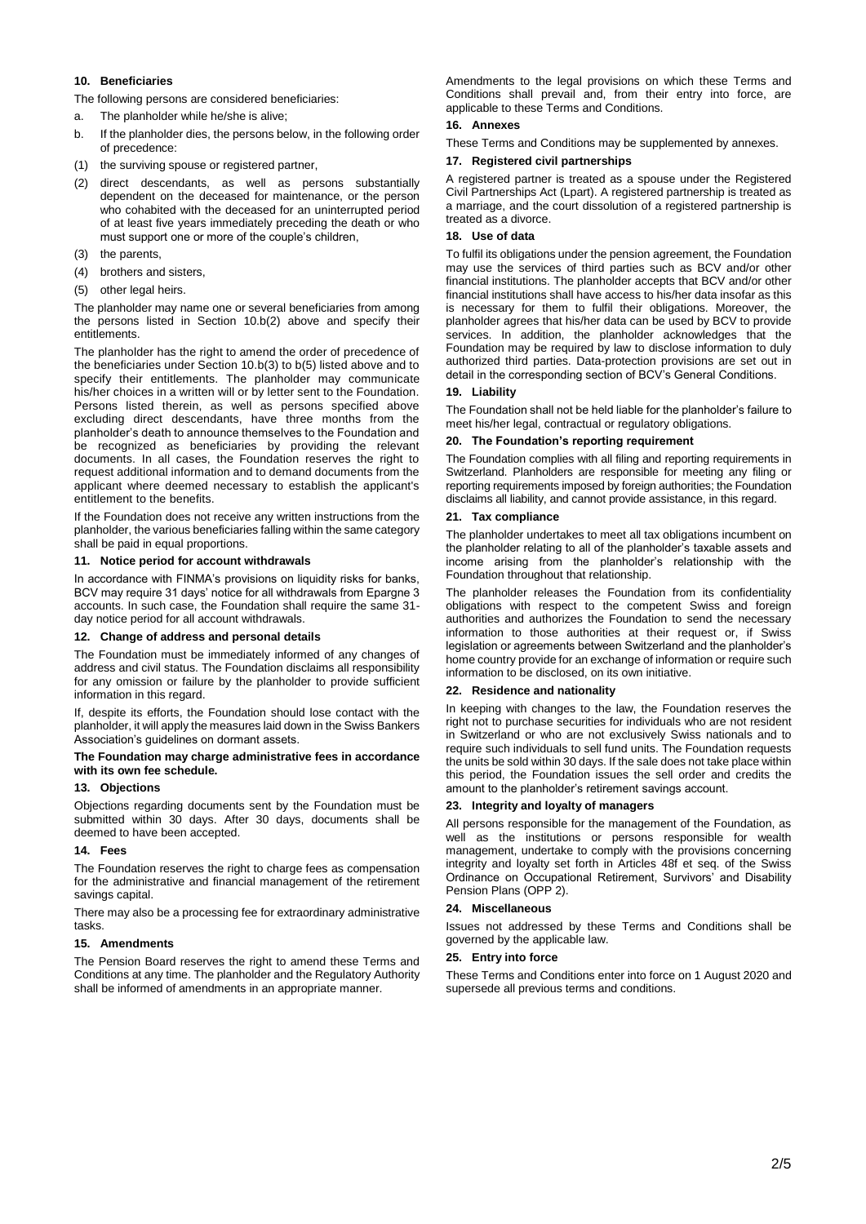## **10. Beneficiaries**

The following persons are considered beneficiaries:

- a. The planholder while he/she is alive;
- b. If the planholder dies, the persons below, in the following order of precedence:
- (1) the surviving spouse or registered partner,
- (2) direct descendants, as well as persons substantially dependent on the deceased for maintenance, or the person who cohabited with the deceased for an uninterrupted period of at least five years immediately preceding the death or who must support one or more of the couple's children,
- (3) the parents,
- (4) brothers and sisters,
- (5) other legal heirs.

The planholder may name one or several beneficiaries from among the persons listed in Section 10.b(2) above and specify their entitlements.

The planholder has the right to amend the order of precedence of the beneficiaries under Section 10.b(3) to b(5) listed above and to specify their entitlements. The planholder may communicate his/her choices in a written will or by letter sent to the Foundation. Persons listed therein, as well as persons specified above excluding direct descendants, have three months from the planholder's death to announce themselves to the Foundation and be recognized as beneficiaries by providing the relevant documents. In all cases, the Foundation reserves the right to request additional information and to demand documents from the applicant where deemed necessary to establish the applicant's entitlement to the benefits.

If the Foundation does not receive any written instructions from the planholder, the various beneficiaries falling within the same category shall be paid in equal proportions.

#### **11. Notice period for account withdrawals**

In accordance with FINMA's provisions on liquidity risks for banks, BCV may require 31 days' notice for all withdrawals from Epargne 3 accounts. In such case, the Foundation shall require the same 31 day notice period for all account withdrawals.

#### **12. Change of address and personal details**

The Foundation must be immediately informed of any changes of address and civil status. The Foundation disclaims all responsibility for any omission or failure by the planholder to provide sufficient information in this regard.

If, despite its efforts, the Foundation should lose contact with the planholder, it will apply the measures laid down in the Swiss Bankers Association's guidelines on dormant assets.

## **The Foundation may charge administrative fees in accordance with its own fee schedule.**

## **13. Objections**

Objections regarding documents sent by the Foundation must be submitted within 30 days. After 30 days, documents shall be deemed to have been accepted.

#### **14. Fees**

The Foundation reserves the right to charge fees as compensation for the administrative and financial management of the retirement savings capital.

There may also be a processing fee for extraordinary administrative tasks.

## **15. Amendments**

The Pension Board reserves the right to amend these Terms and Conditions at any time. The planholder and the Regulatory Authority shall be informed of amendments in an appropriate manner.

Amendments to the legal provisions on which these Terms and Conditions shall prevail and, from their entry into force, are applicable to these Terms and Conditions.

## **16. Annexes**

These Terms and Conditions may be supplemented by annexes.

#### **17. Registered civil partnerships**

A registered partner is treated as a spouse under the Registered Civil Partnerships Act (Lpart). A registered partnership is treated as a marriage, and the court dissolution of a registered partnership is treated as a divorce.

#### **18. Use of data**

To fulfil its obligations under the pension agreement, the Foundation may use the services of third parties such as BCV and/or other financial institutions. The planholder accepts that BCV and/or other financial institutions shall have access to his/her data insofar as this is necessary for them to fulfil their obligations. Moreover, the planholder agrees that his/her data can be used by BCV to provide services. In addition, the planholder acknowledges that the Foundation may be required by law to disclose information to duly authorized third parties. Data-protection provisions are set out in detail in the corresponding section of BCV's General Conditions.

## **19. Liability**

The Foundation shall not be held liable for the planholder's failure to meet his/her legal, contractual or regulatory obligations.

## **20. The Foundation's reporting requirement**

The Foundation complies with all filing and reporting requirements in Switzerland. Planholders are responsible for meeting any filing or reporting requirements imposed by foreign authorities; the Foundation disclaims all liability, and cannot provide assistance, in this regard.

## **21. Tax compliance**

The planholder undertakes to meet all tax obligations incumbent on the planholder relating to all of the planholder's taxable assets and income arising from the planholder's relationship with the Foundation throughout that relationship.

The planholder releases the Foundation from its confidentiality obligations with respect to the competent Swiss and foreign authorities and authorizes the Foundation to send the necessary information to those authorities at their request or, if Swiss legislation or agreements between Switzerland and the planholder's home country provide for an exchange of information or require such information to be disclosed, on its own initiative.

## **22. Residence and nationality**

In keeping with changes to the law, the Foundation reserves the right not to purchase securities for individuals who are not resident in Switzerland or who are not exclusively Swiss nationals and to require such individuals to sell fund units. The Foundation requests the units be sold within 30 days. If the sale does not take place within this period, the Foundation issues the sell order and credits the amount to the planholder's retirement savings account.

#### **23. Integrity and loyalty of managers**

All persons responsible for the management of the Foundation, as well as the institutions or persons responsible for wealth management, undertake to comply with the provisions concerning integrity and loyalty set forth in Articles 48f et seq. of the Swiss Ordinance on Occupational Retirement, Survivors' and Disability Pension Plans (OPP 2).

## **24. Miscellaneous**

Issues not addressed by these Terms and Conditions shall be governed by the applicable law.

#### **25. Entry into force**

These Terms and Conditions enter into force on 1 August 2020 and supersede all previous terms and conditions.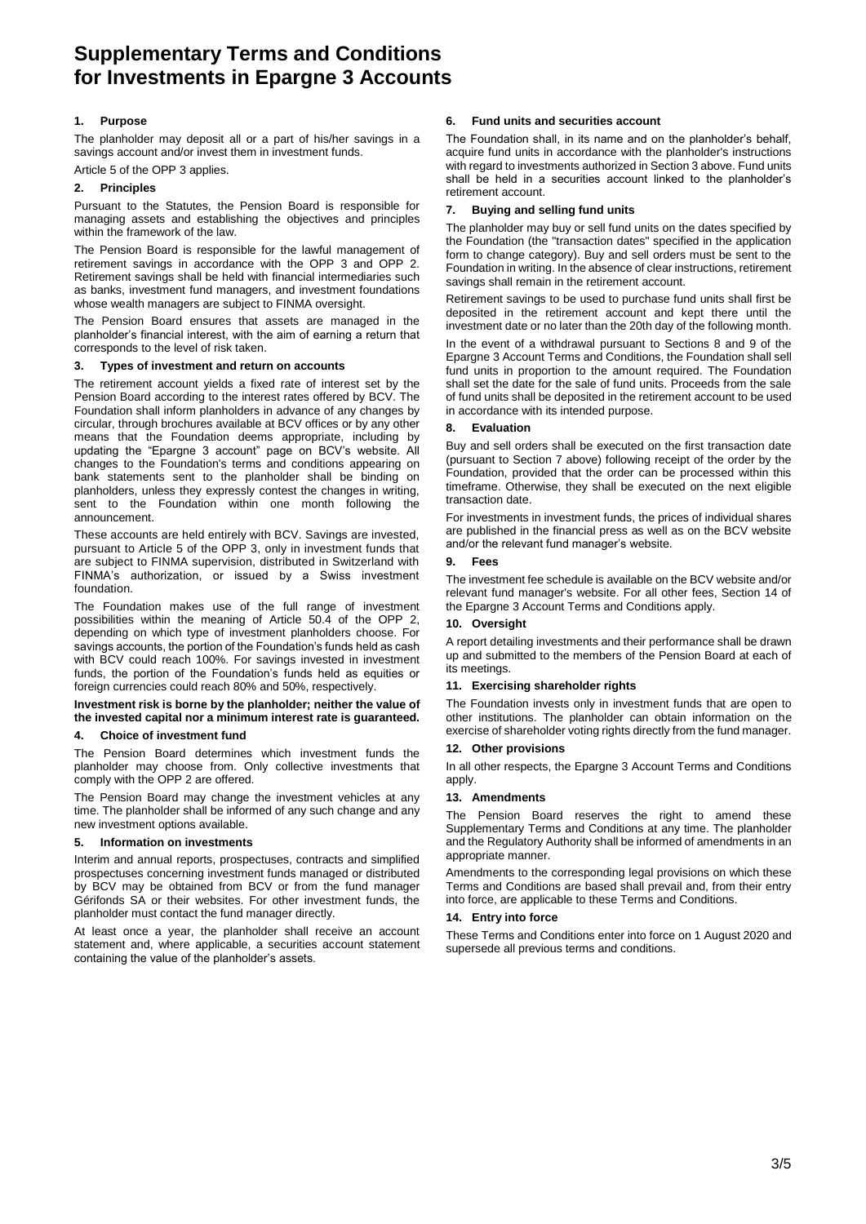# **Supplementary Terms and Conditions for Investments in Epargne 3 Accounts**

# **1. Purpose**

The planholder may deposit all or a part of his/her savings in a savings account and/or invest them in investment funds.

# Article 5 of the OPP 3 applies.

# **2. Principles**

Pursuant to the Statutes, the Pension Board is responsible for managing assets and establishing the objectives and principles within the framework of the law.

The Pension Board is responsible for the lawful management of retirement savings in accordance with the OPP 3 and OPP 2. Retirement savings shall be held with financial intermediaries such as banks, investment fund managers, and investment foundations whose wealth managers are subject to FINMA oversight.

The Pension Board ensures that assets are managed in the planholder's financial interest, with the aim of earning a return that corresponds to the level of risk taken.

## **3. Types of investment and return on accounts**

The retirement account yields a fixed rate of interest set by the Pension Board according to the interest rates offered by BCV. The Foundation shall inform planholders in advance of any changes by circular, through brochures available at BCV offices or by any other means that the Foundation deems appropriate, including by updating the "Epargne 3 account" page on BCV's website. All changes to the Foundation's terms and conditions appearing on bank statements sent to the planholder shall be binding on planholders, unless they expressly contest the changes in writing, sent to the Foundation within one month following the announcement.

These accounts are held entirely with BCV. Savings are invested, pursuant to Article 5 of the OPP 3, only in investment funds that are subject to FINMA supervision, distributed in Switzerland with FINMA's authorization, or issued by a Swiss investment foundation.

The Foundation makes use of the full range of investment possibilities within the meaning of Article 50.4 of the OPP 2, depending on which type of investment planholders choose. For savings accounts, the portion of the Foundation's funds held as cash with BCV could reach 100%. For savings invested in investment funds, the portion of the Foundation's funds held as equities or foreign currencies could reach 80% and 50%, respectively.

## **Investment risk is borne by the planholder; neither the value of the invested capital nor a minimum interest rate is guaranteed.**

## **4. Choice of investment fund**

The Pension Board determines which investment funds the planholder may choose from. Only collective investments that comply with the OPP 2 are offered.

The Pension Board may change the investment vehicles at any time. The planholder shall be informed of any such change and any new investment options available.

## **5. Information on investments**

Interim and annual reports, prospectuses, contracts and simplified prospectuses concerning investment funds managed or distributed by BCV may be obtained from BCV or from the fund manager Gérifonds SA or their websites. For other investment funds, the planholder must contact the fund manager directly.

At least once a year, the planholder shall receive an account statement and, where applicable, a securities account statement containing the value of the planholder's assets.

## **6. Fund units and securities account**

The Foundation shall, in its name and on the planholder's behalf, acquire fund units in accordance with the planholder's instructions with regard to investments authorized in Section 3 above. Fund units shall be held in a securities account linked to the planholder's retirement account.

## **7. Buying and selling fund units**

The planholder may buy or sell fund units on the dates specified by the Foundation (the "transaction dates" specified in the application form to change category). Buy and sell orders must be sent to the Foundation in writing. In the absence of clear instructions, retirement savings shall remain in the retirement account.

Retirement savings to be used to purchase fund units shall first be deposited in the retirement account and kept there until the investment date or no later than the 20th day of the following month.

In the event of a withdrawal pursuant to Sections 8 and 9 of the Epargne 3 Account Terms and Conditions, the Foundation shall sell fund units in proportion to the amount required. The Foundation shall set the date for the sale of fund units. Proceeds from the sale of fund units shall be deposited in the retirement account to be used in accordance with its intended purpose.

## **8. Evaluation**

Buy and sell orders shall be executed on the first transaction date (pursuant to Section 7 above) following receipt of the order by the Foundation, provided that the order can be processed within this timeframe. Otherwise, they shall be executed on the next eligible transaction date.

For investments in investment funds, the prices of individual shares are published in the financial press as well as on the BCV website and/or the relevant fund manager's website.

## **9. Fees**

The investment fee schedule is available on the BCV website and/or relevant fund manager's website. For all other fees, Section 14 of the Epargne 3 Account Terms and Conditions apply.

## **10. Oversight**

A report detailing investments and their performance shall be drawn up and submitted to the members of the Pension Board at each of its meetings.

## **11. Exercising shareholder rights**

The Foundation invests only in investment funds that are open to other institutions. The planholder can obtain information on the exercise of shareholder voting rights directly from the fund manager.

## **12. Other provisions**

In all other respects, the Epargne 3 Account Terms and Conditions apply.

## **13. Amendments**

The Pension Board reserves the right to amend these Supplementary Terms and Conditions at any time. The planholder and the Regulatory Authority shall be informed of amendments in an appropriate manner.

Amendments to the corresponding legal provisions on which these Terms and Conditions are based shall prevail and, from their entry into force, are applicable to these Terms and Conditions.

## **14. Entry into force**

These Terms and Conditions enter into force on 1 August 2020 and supersede all previous terms and conditions.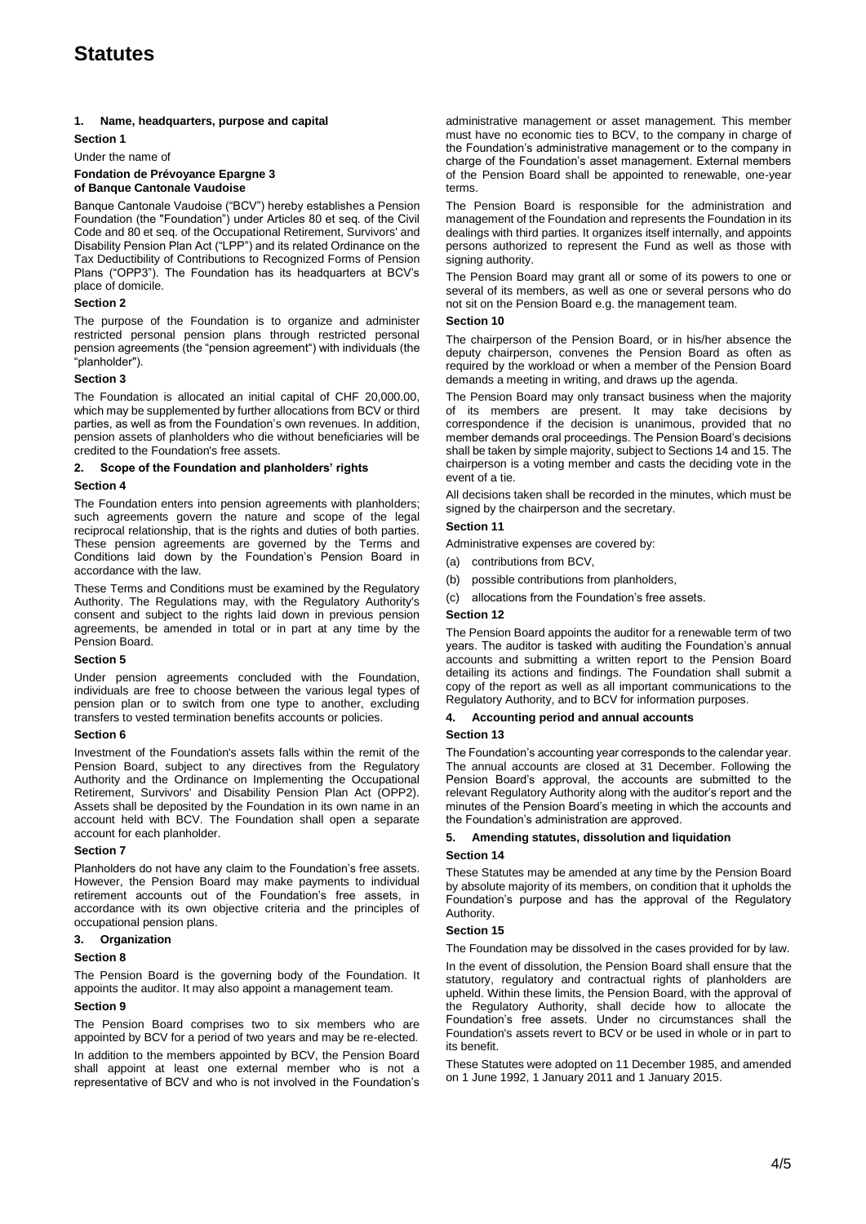# **Statutes**

## **1. Name, headquarters, purpose and capital**

## **Section 1**

Under the name of

#### **Fondation de Prévoyance Epargne 3 of Banque Cantonale Vaudoise**

Banque Cantonale Vaudoise ("BCV") hereby establishes a Pension Foundation (the "Foundation") under Articles 80 et seq. of the Civil Code and 80 et seq. of the Occupational Retirement, Survivors' and Disability Pension Plan Act ("LPP") and its related Ordinance on the Tax Deductibility of Contributions to Recognized Forms of Pension Plans ("OPP3"). The Foundation has its headquarters at BCV's place of domicile.

## **Section 2**

The purpose of the Foundation is to organize and administer restricted personal pension plans through restricted personal pension agreements (the "pension agreement") with individuals (the "planholder").

## **Section 3**

The Foundation is allocated an initial capital of CHF 20,000.00, which may be supplemented by further allocations from BCV or third parties, as well as from the Foundation's own revenues. In addition, pension assets of planholders who die without beneficiaries will be credited to the Foundation's free assets.

## **2. Scope of the Foundation and planholders' rights**

## **Section 4**

The Foundation enters into pension agreements with planholders; such agreements govern the nature and scope of the legal reciprocal relationship, that is the rights and duties of both parties. These pension agreements are governed by the Terms and Conditions laid down by the Foundation's Pension Board in accordance with the law.

These Terms and Conditions must be examined by the Regulatory Authority. The Regulations may, with the Regulatory Authority's consent and subject to the rights laid down in previous pension agreements, be amended in total or in part at any time by the Pension Board.

## **Section 5**

Under pension agreements concluded with the Foundation, individuals are free to choose between the various legal types of pension plan or to switch from one type to another, excluding transfers to vested termination benefits accounts or policies.

## **Section 6**

Investment of the Foundation's assets falls within the remit of the Pension Board, subject to any directives from the Regulatory Authority and the Ordinance on Implementing the Occupational Retirement, Survivors' and Disability Pension Plan Act (OPP2). Assets shall be deposited by the Foundation in its own name in an account held with BCV. The Foundation shall open a separate account for each planholder.

## **Section 7**

Planholders do not have any claim to the Foundation's free assets. However, the Pension Board may make payments to individual retirement accounts out of the Foundation's free assets, in accordance with its own objective criteria and the principles of occupational pension plans.

## **3. Organization**

## **Section 8**

The Pension Board is the governing body of the Foundation. It appoints the auditor. It may also appoint a management team.

## **Section 9**

The Pension Board comprises two to six members who are appointed by BCV for a period of two years and may be re-elected. In addition to the members appointed by BCV, the Pension Board shall appoint at least one external member who is not a representative of BCV and who is not involved in the Foundation's administrative management or asset management. This member must have no economic ties to BCV, to the company in charge of the Foundation's administrative management or to the company in charge of the Foundation's asset management. External members of the Pension Board shall be appointed to renewable, one-year terms.

The Pension Board is responsible for the administration and management of the Foundation and represents the Foundation in its dealings with third parties. It organizes itself internally, and appoints persons authorized to represent the Fund as well as those with signing authority.

The Pension Board may grant all or some of its powers to one or several of its members, as well as one or several persons who do not sit on the Pension Board e.g. the management team.

## **Section 10**

The chairperson of the Pension Board, or in his/her absence the deputy chairperson, convenes the Pension Board as often as required by the workload or when a member of the Pension Board demands a meeting in writing, and draws up the agenda.

The Pension Board may only transact business when the majority of its members are present. It may take decisions by correspondence if the decision is unanimous, provided that no member demands oral proceedings. The Pension Board's decisions shall be taken by simple majority, subject to Sections 14 and 15. The chairperson is a voting member and casts the deciding vote in the event of a tie.

All decisions taken shall be recorded in the minutes, which must be signed by the chairperson and the secretary.

## **Section 11**

Administrative expenses are covered by:

- (a) contributions from BCV,
- (b) possible contributions from planholders,
- (c) allocations from the Foundation's free assets.

## **Section 12**

The Pension Board appoints the auditor for a renewable term of two years. The auditor is tasked with auditing the Foundation's annual accounts and submitting a written report to the Pension Board detailing its actions and findings. The Foundation shall submit a copy of the report as well as all important communications to the Regulatory Authority, and to BCV for information purposes.

## **4. Accounting period and annual accounts**

## **Section 13**

The Foundation's accounting year corresponds to the calendar year. The annual accounts are closed at 31 December. Following the Pension Board's approval, the accounts are submitted to the relevant Regulatory Authority along with the auditor's report and the minutes of the Pension Board's meeting in which the accounts and the Foundation's administration are approved.

## **5. Amending statutes, dissolution and liquidation**

## **Section 14**

These Statutes may be amended at any time by the Pension Board by absolute majority of its members, on condition that it upholds the Foundation's purpose and has the approval of the Regulatory Authority.

## **Section 15**

The Foundation may be dissolved in the cases provided for by law.

In the event of dissolution, the Pension Board shall ensure that the statutory, regulatory and contractual rights of planholders are upheld. Within these limits, the Pension Board, with the approval of the Regulatory Authority, shall decide how to allocate the Foundation's free assets. Under no circumstances shall the Foundation's assets revert to BCV or be used in whole or in part to its benefit.

These Statutes were adopted on 11 December 1985, and amended on 1 June 1992, 1 January 2011 and 1 January 2015.